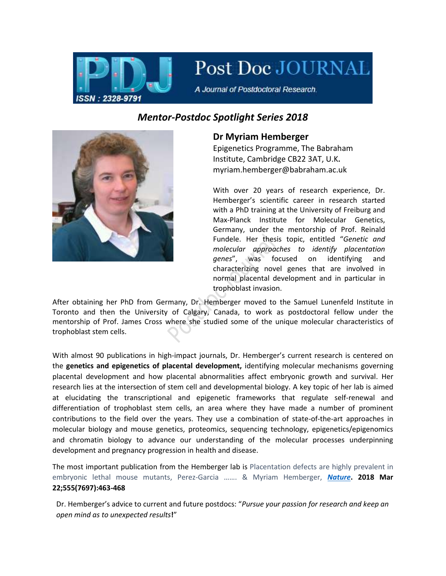

Post Doc JOURNAL

A Journal of Postdoctoral Research.

## *Mentor-Postdoc Spotlight Series 2018*



## **Dr Myriam Hemberger**

Epigenetics Programme, The Babraham Institute, Cambridge CB22 3AT, U.K**.**  myriam.hemberger@babraham.ac.uk

With over 20 years of research experience, Dr. Hemberger's scientific career in research started with a PhD training at the University of Freiburg and Max-Planck Institute for Molecular Genetics, Germany, under the mentorship of Prof. Reinald Fundele. Her thesis topic, entitled "*Genetic and molecular approaches to identify placentation genes*", was focused on identifying and characterizing novel genes that are involved in normal placental development and in particular in trophoblast invasion.

After obtaining her PhD from Germany, Dr. Hemberger moved to the Samuel Lunenfeld Institute in Toronto and then the University of Calgary, Canada, to work as postdoctoral fellow under the mentorship of Prof. James Cross where she studied some of the unique molecular characteristics of trophoblast stem cells.

With almost 90 publications in high-impact journals, Dr. Hemberger's current research is centered on the **genetics and epigenetics of placental development,** identifying molecular mechanisms governing placental development and how placental abnormalities affect embryonic growth and survival. Her research lies at the intersection of stem cell and developmental biology. A key topic of her lab is aimed at elucidating the transcriptional and epigenetic frameworks that regulate self-renewal and differentiation of trophoblast stem cells, an area where they have made a number of prominent contributions to the field over the years. They use a combination of state-of-the-art approaches in molecular biology and mouse genetics, proteomics, sequencing technology, epigenetics/epigenomics and chromatin biology to advance our understanding of the molecular processes underpinning development and pregnancy progression in health and disease.

The most important publication from the Hemberger lab is Placentation defects are highly prevalent in embryonic lethal mouse mutants, Perez-Garcia ……. & Myriam Hemberger, *[Nature](https://www.nature.com/articles/nature26002)***. 2018 Mar 22;555(7697):463-468**

Dr. Hemberger's advice to current and future postdocs: "*Pursue your passion for research and keep an open mind as to unexpected results***!**"